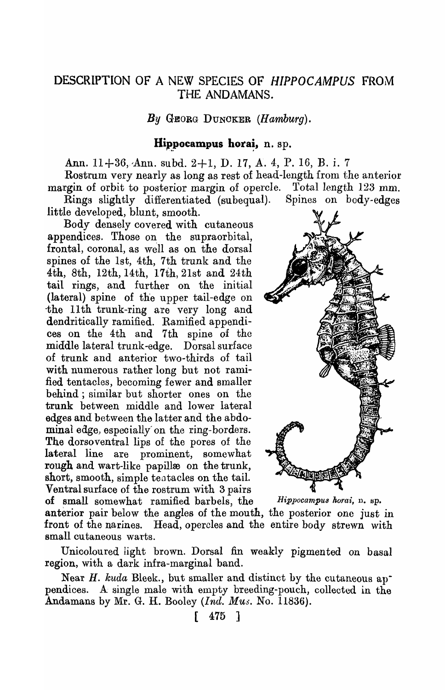## DESCRIPTION OF A NEW SPECIES OF *HIPPOCAMPUS* FROM THE ANDAMANS.

*By* GEORG DUNOKER (Hamburg).

## Hippocampus horai,  $n.$  sp.

Ann.  $11+36$ , Ann. subd.  $2+1$ , D. 17, A. 4, P. 16, B. i. 7

Rostrum very nearly as long as rest of head-length from the anterior margin of orbit to posterior margin of opercle. Total length 123 mm. Rings slightly differentiated (subequal). Spines on body-edges

little developed, blunt, smooth.

Body densely covered with cutaneous appendices. Those on the supraorbital, frontal, coronal, as well as on the dorsal spines of the 1st, 4th, 7th trunk and the 4th, 8th, 12th, 14th, 17th, 21st and 24th tail rings, and further on the initial (lateral) spine of the upper tail-edge on -the 11th trunk-ring are very long and dendritically ramified. Ramified appendices on the 4th and 7th spine of the middle lateral trunk -edge. Dorsal surface of trunk and anterior two-thirds of tail with numerous rather long but not ramified tentacles, becoming fewer and smaller behind ; similar but shorter ones on the trunk between middle and lower lateral edges and between the latter and the abdominal edge, especially on the ring-borders. The dorsoventral lips of the pores of the lateral line are prominent, somewhat rough and wart-like papillæ on the trunk, short, smooth, simple tentacles on the tail. Ventral surface of the rostrum with 3 pairs of small somewhat ramified barbels, the *Hippocampus horai*, n. sp.

**A DELETER** 

anterior pair below the angles of the mouth, the posterior one just in front of the narines. Head, opercles and the entire body strewn with small eu taneous warts.

Unicoloured light brown. Dorsal fin weakly pigmented on basal region, with a dark infra-marginal band.

Near *H. kuda* Bleek., but smaller and distinct by the cutaneous ap<sup>-</sup> pendices. A· single male with empty breeding-pouch, collected in the Andamans by Mr. G. H. Booley *(Ind. Mus.* No. 11836).